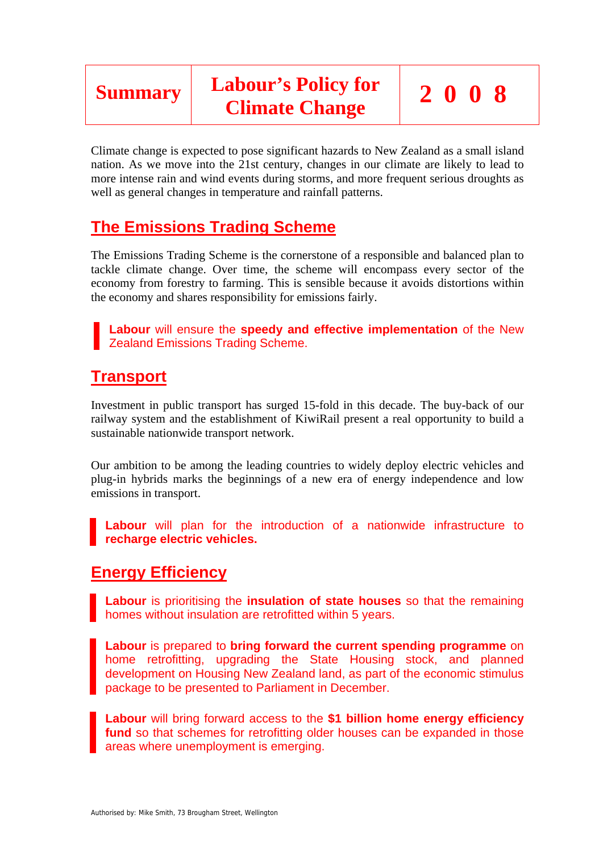

Climate change is expected to pose significant hazards to New Zealand as a small island nation. As we move into the 21st century, changes in our climate are likely to lead to more intense rain and wind events during storms, and more frequent serious droughts as well as general changes in temperature and rainfall patterns.

# **The Emissions Trading Scheme**

The Emissions Trading Scheme is the cornerstone of a responsible and balanced plan to tackle climate change. Over time, the scheme will encompass every sector of the economy from forestry to farming. This is sensible because it avoids distortions within the economy and shares responsibility for emissions fairly.

**Labour** will ensure the **speedy and effective implementation** of the New Zealand Emissions Trading Scheme.

# **Transport**

Investment in public transport has surged 15-fold in this decade. The buy-back of our railway system and the establishment of KiwiRail present a real opportunity to build a sustainable nationwide transport network.

Our ambition to be among the leading countries to widely deploy electric vehicles and plug-in hybrids marks the beginnings of a new era of energy independence and low emissions in transport.

**Labour** will plan for the introduction of a nationwide infrastructure to **recharge electric vehicles.** 

### **Energy Efficiency**

**Labour** is prioritising the **insulation of state houses** so that the remaining homes without insulation are retrofitted within 5 years.

**Labour** is prepared to **bring forward the current spending programme** on home retrofitting, upgrading the State Housing stock, and planned development on Housing New Zealand land, as part of the economic stimulus package to be presented to Parliament in December.

**Labour** will bring forward access to the **\$1 billion home energy efficiency fund** so that schemes for retrofitting older houses can be expanded in those areas where unemployment is emerging.